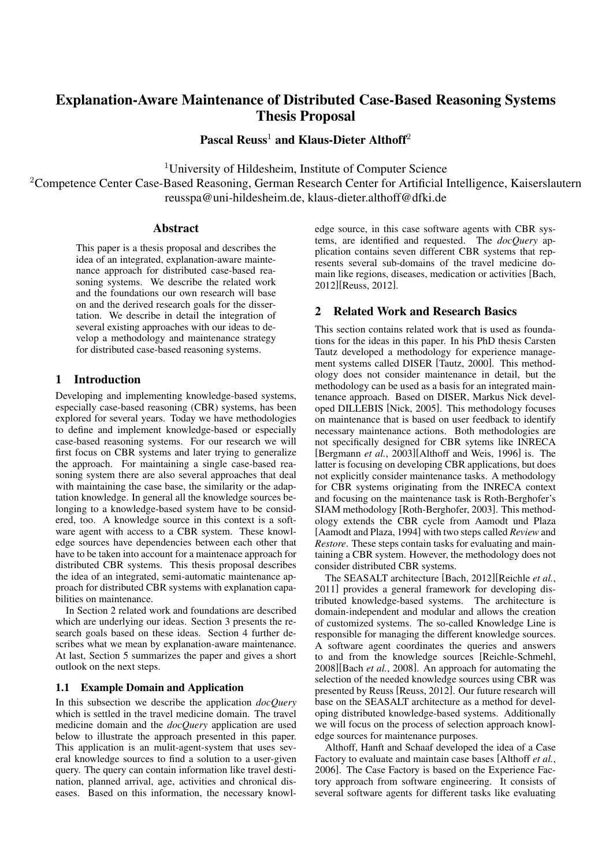# Explanation-Aware Maintenance of Distributed Case-Based Reasoning Systems Thesis Proposal

Pascal Reuss<sup>1</sup> and Klaus-Dieter Althoff<sup>2</sup>

<sup>1</sup>University of Hildesheim, Institute of Computer Science

<sup>2</sup>Competence Center Case-Based Reasoning, German Research Center for Artificial Intelligence, Kaiserslautern reusspa@uni-hildesheim.de, klaus-dieter.althoff@dfki.de

#### Abstract

This paper is a thesis proposal and describes the idea of an integrated, explanation-aware maintenance approach for distributed case-based reasoning systems. We describe the related work and the foundations our own research will base on and the derived research goals for the dissertation. We describe in detail the integration of several existing approaches with our ideas to develop a methodology and maintenance strategy for distributed case-based reasoning systems.

# 1 Introduction

Developing and implementing knowledge-based systems, especially case-based reasoning (CBR) systems, has been explored for several years. Today we have methodologies to define and implement knowledge-based or especially case-based reasoning systems. For our research we will first focus on CBR systems and later trying to generalize the approach. For maintaining a single case-based reasoning system there are also several approaches that deal with maintaining the case base, the similarity or the adaptation knowledge. In general all the knowledge sources belonging to a knowledge-based system have to be considered, too. A knowledge source in this context is a software agent with access to a CBR system. These knowledge sources have dependencies between each other that have to be taken into account for a maintenace approach for distributed CBR systems. This thesis proposal describes the idea of an integrated, semi-automatic maintenance approach for distributed CBR systems with explanation capabilities on maintenance.

In Section 2 related work and foundations are described which are underlying our ideas. Section 3 presents the research goals based on these ideas. Section 4 further describes what we mean by explanation-aware maintenance. At last, Section 5 summarizes the paper and gives a short outlook on the next steps.

#### 1.1 Example Domain and Application

In this subsection we describe the application *docQuery* which is settled in the travel medicine domain. The travel medicine domain and the *docQuery* application are used below to illustrate the approach presented in this paper. This application is an mulit-agent-system that uses several knowledge sources to find a solution to a user-given query. The query can contain information like travel destination, planned arrival, age, activities and chronical diseases. Based on this information, the necessary knowledge source, in this case software agents with CBR systems, are identified and requested. The *docQuery* application contains seven different CBR systems that represents several sub-domains of the travel medicine domain like regions, diseases, medication or activities [Bach, 2012][Reuss, 2012].

# 2 Related Work and Research Basics

This section contains related work that is used as foundations for the ideas in this paper. In his PhD thesis Carsten Tautz developed a methodology for experience management systems called DISER [Tautz, 2000]. This methodology does not consider maintenance in detail, but the methodology can be used as a basis for an integrated maintenance approach. Based on DISER, Markus Nick developed DILLEBIS [Nick, 2005]. This methodology focuses on maintenance that is based on user feedback to identify necessary maintenance actions. Both methodologies are not specifically designed for CBR sytems like INRECA [Bergmann *et al.*, 2003][Althoff and Weis, 1996] is. The latter is focusing on developing CBR applications, but does not explicitly consider maintenance tasks. A methodology for CBR systems originating from the INRECA context and focusing on the maintenance task is Roth-Berghofer's SIAM methodology [Roth-Berghofer, 2003]. This methodology extends the CBR cycle from Aamodt und Plaza [Aamodt and Plaza, 1994] with two steps called *Review* and *Restore*. These steps contain tasks for evaluating and maintaining a CBR system. However, the methodology does not consider distributed CBR systems.

The SEASALT architecture [Bach, 2012][Reichle *et al.*, 2011] provides a general framework for developing distributed knowledge-based systems. The architecture is domain-independent and modular and allows the creation of customized systems. The so-called Knowledge Line is responsible for managing the different knowledge sources. A software agent coordinates the queries and answers to and from the knowledge sources [Reichle-Schmehl, 2008][Bach *et al.*, 2008]. An approach for automating the selection of the needed knowledge sources using CBR was presented by Reuss [Reuss, 2012]. Our future research will base on the SEASALT architecture as a method for developing distributed knowledge-based systems. Additionally we will focus on the process of selection approach knowledge sources for maintenance purposes.

Althoff, Hanft and Schaaf developed the idea of a Case Factory to evaluate and maintain case bases [Althoff *et al.*, 2006]. The Case Factory is based on the Experience Factory approach from software engineering. It consists of several software agents for different tasks like evaluating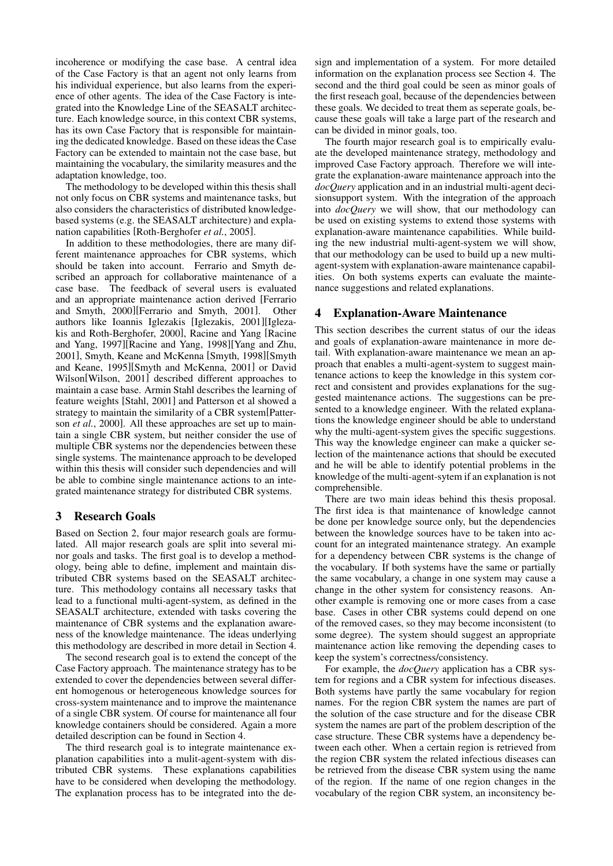incoherence or modifying the case base. A central idea of the Case Factory is that an agent not only learns from his individual experience, but also learns from the experience of other agents. The idea of the Case Factory is integrated into the Knowledge Line of the SEASALT architecture. Each knowledge source, in this context CBR systems, has its own Case Factory that is responsible for maintaining the dedicated knowledge. Based on these ideas the Case Factory can be extended to maintain not the case base, but maintaining the vocabulary, the similarity measures and the adaptation knowledge, too.

The methodology to be developed within this thesis shall not only focus on CBR systems and maintenance tasks, but also considers the characteristics of distributed knowledgebased systems (e.g. the SEASALT architecture) and explanation capabilities [Roth-Berghofer *et al.*, 2005].

In addition to these methodologies, there are many different maintenance approaches for CBR systems, which should be taken into account. Ferrario and Smyth described an approach for collaborative maintenance of a case base. The feedback of several users is evaluated and an appropriate maintenance action derived [Ferrario and Smyth, 2000][Ferrario and Smyth, 2001]. Other authors like Ioannis Iglezakis [Iglezakis, 2001][Iglezakis and Roth-Berghofer, 2000], Racine and Yang [Racine and Yang, 1997][Racine and Yang, 1998][Yang and Zhu, 2001], Smyth, Keane and McKenna [Smyth, 1998][Smyth and Keane, 1995][Smyth and McKenna, 2001] or David Wilson[Wilson, 2001] described different approaches to maintain a case base. Armin Stahl describes the learning of feature weights [Stahl, 2001] and Patterson et al showed a strategy to maintain the similarity of a CBR system[Patterson *et al.*, 2000]. All these approaches are set up to maintain a single CBR system, but neither consider the use of multiple CBR systems nor the dependencies between these single systems. The maintenance approach to be developed within this thesis will consider such dependencies and will be able to combine single maintenance actions to an integrated maintenance strategy for distributed CBR systems.

## 3 Research Goals

Based on Section 2, four major research goals are formulated. All major research goals are split into several minor goals and tasks. The first goal is to develop a methodology, being able to define, implement and maintain distributed CBR systems based on the SEASALT architecture. This methodology contains all necessary tasks that lead to a functional multi-agent-system, as defined in the SEASALT architecture, extended with tasks covering the maintenance of CBR systems and the explanation awareness of the knowledge maintenance. The ideas underlying this methodology are described in more detail in Section 4.

The second research goal is to extend the concept of the Case Factory approach. The maintenance strategy has to be extended to cover the dependencies between several different homogenous or heterogeneous knowledge sources for cross-system maintenance and to improve the maintenance of a single CBR system. Of course for maintenance all four knowledge containers should be considered. Again a more detailed description can be found in Section 4.

The third research goal is to integrate maintenance explanation capabilities into a mulit-agent-system with distributed CBR systems. These explanations capabilities have to be considered when developing the methodology. The explanation process has to be integrated into the design and implementation of a system. For more detailed information on the explanation process see Section 4. The second and the third goal could be seen as minor goals of the first reseach goal, because of the dependencies between these goals. We decided to treat them as seperate goals, because these goals will take a large part of the research and can be divided in minor goals, too.

The fourth major research goal is to empirically evaluate the developed maintenance strategy, methodology and improved Case Factory approach. Therefore we will integrate the explanation-aware maintenance approach into the *docQuery* application and in an industrial multi-agent decisionsupport system. With the integration of the approach into *docQuery* we will show, that our methodology can be used on existing systems to extend those systems with explanation-aware maintenance capabilities. While building the new industrial multi-agent-system we will show, that our methodology can be used to build up a new multiagent-system with explanation-aware maintenance capabilities. On both systems experts can evaluate the maintenance suggestions and related explanations.

# 4 Explanation-Aware Maintenance

This section describes the current status of our the ideas and goals of explanation-aware maintenance in more detail. With explanation-aware maintenance we mean an approach that enables a multi-agent-system to suggest maintenance actions to keep the knowledge in this system correct and consistent and provides explanations for the suggested maintenance actions. The suggestions can be presented to a knowledge engineer. With the related explanations the knowledge engineer should be able to understand why the multi-agent-system gives the specific suggestions. This way the knowledge engineer can make a quicker selection of the maintenance actions that should be executed and he will be able to identify potential problems in the knowledge of the multi-agent-sytem if an explanation is not comprehensible.

There are two main ideas behind this thesis proposal. The first idea is that maintenance of knowledge cannot be done per knowledge source only, but the dependencies between the knowledge sources have to be taken into account for an integrated maintenance strategy. An example for a dependency between CBR systems is the change of the vocabulary. If both systems have the same or partially the same vocabulary, a change in one system may cause a change in the other system for consistency reasons. Another example is removing one or more cases from a case base. Cases in other CBR systems could depend on one of the removed cases, so they may become inconsistent (to some degree). The system should suggest an appropriate maintenance action like removing the depending cases to keep the system's correctness/consistency.

For example, the *docQuery* application has a CBR system for regions and a CBR system for infectious diseases. Both systems have partly the same vocabulary for region names. For the region CBR system the names are part of the solution of the case structure and for the disease CBR system the names are part of the problem description of the case structure. These CBR systems have a dependency between each other. When a certain region is retrieved from the region CBR system the related infectious diseases can be retrieved from the disease CBR system using the name of the region. If the name of one region changes in the vocabulary of the region CBR system, an inconsitency be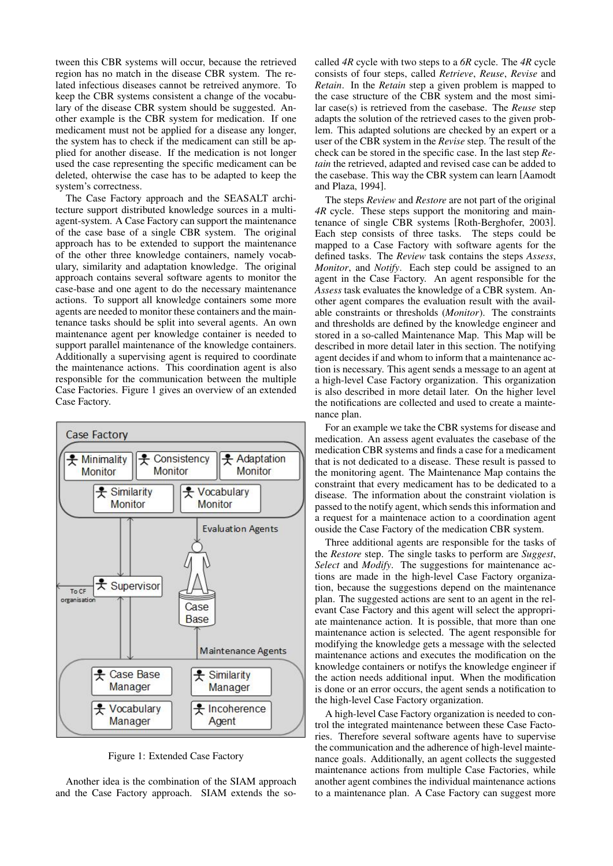tween this CBR systems will occur, because the retrieved region has no match in the disease CBR system. The related infectious diseases cannot be retreived anymore. To keep the CBR systems consistent a change of the vocabulary of the disease CBR system should be suggested. Another example is the CBR system for medication. If one medicament must not be applied for a disease any longer, the system has to check if the medicament can still be applied for another disease. If the medication is not longer used the case representing the specific medicament can be deleted, ohterwise the case has to be adapted to keep the system's correctness.

The Case Factory approach and the SEASALT architecture support distributed knowledge sources in a multiagent-system. A Case Factory can support the maintenance of the case base of a single CBR system. The original approach has to be extended to support the maintenance of the other three knowledge containers, namely vocabulary, similarity and adaptation knowledge. The original approach contains several software agents to monitor the case-base and one agent to do the necessary maintenance actions. To support all knowledge containers some more agents are needed to monitor these containers and the maintenance tasks should be split into several agents. An own maintenance agent per knowledge container is needed to support parallel maintenance of the knowledge containers. Additionally a supervising agent is required to coordinate the maintenance actions. This coordination agent is also responsible for the communication between the multiple Case Factories. Figure 1 gives an overview of an extended Case Factory.



Figure 1: Extended Case Factory

Another idea is the combination of the SIAM approach and the Case Factory approach. SIAM extends the socalled *4R* cycle with two steps to a *6R* cycle. The *4R* cycle consists of four steps, called *Retrieve*, *Reuse*, *Revise* and *Retain*. In the *Retain* step a given problem is mapped to the case structure of the CBR system and the most similar case(s) is retrieved from the casebase. The *Reuse* step adapts the solution of the retrieved cases to the given problem. This adapted solutions are checked by an expert or a user of the CBR system in the *Revise* step. The result of the check can be stored in the specific case. In the last step *Retain* the retrieved, adapted and revised case can be added to the casebase. This way the CBR system can learn [Aamodt and Plaza, 1994].

The steps *Review* and *Restore* are not part of the original *4R* cycle. These steps support the monitoring and maintenance of single CBR systems [Roth-Berghofer, 2003]. Each step consists of three tasks. The steps could be mapped to a Case Factory with software agents for the defined tasks. The *Review* task contains the steps *Assess*, *Monitor*, and *Notify*. Each step could be assigned to an agent in the Case Factory. An agent responsible for the *Assess* task evaluates the knowledge of a CBR system. Another agent compares the evaluation result with the available constraints or thresholds (*Monitor*). The constraints and thresholds are defined by the knowledge engineer and stored in a so-called Maintenance Map. This Map will be described in more detail later in this section. The notifying agent decides if and whom to inform that a maintenance action is necessary. This agent sends a message to an agent at a high-level Case Factory organization. This organization is also described in more detail later. On the higher level the notifications are collected and used to create a maintenance plan.

For an example we take the CBR systems for disease and medication. An assess agent evaluates the casebase of the medication CBR systems and finds a case for a medicament that is not dedicated to a disease. These result is passed to the monitoring agent. The Maintenance Map contains the constraint that every medicament has to be dedicated to a disease. The information about the constraint violation is passed to the notify agent, which sends this information and a request for a maintenace action to a coordination agent ouside the Case Factory of the medication CBR system.

Three additional agents are responsible for the tasks of the *Restore* step. The single tasks to perform are *Suggest*, *Select* and *Modify*. The suggestions for maintenance actions are made in the high-level Case Factory organization, because the suggestions depend on the maintenance plan. The suggested actions are sent to an agent in the relevant Case Factory and this agent will select the appropriate maintenance action. It is possible, that more than one maintenance action is selected. The agent responsible for modifying the knowledge gets a message with the selected maintenance actions and executes the modification on the knowledge containers or notifys the knowledge engineer if the action needs additional input. When the modification is done or an error occurs, the agent sends a notification to the high-level Case Factory organization.

A high-level Case Factory organization is needed to control the integrated maintenance between these Case Factories. Therefore several software agents have to supervise the communication and the adherence of high-level maintenance goals. Additionally, an agent collects the suggested maintenance actions from multiple Case Factories, while another agent combines the individual maintenance actions to a maintenance plan. A Case Factory can suggest more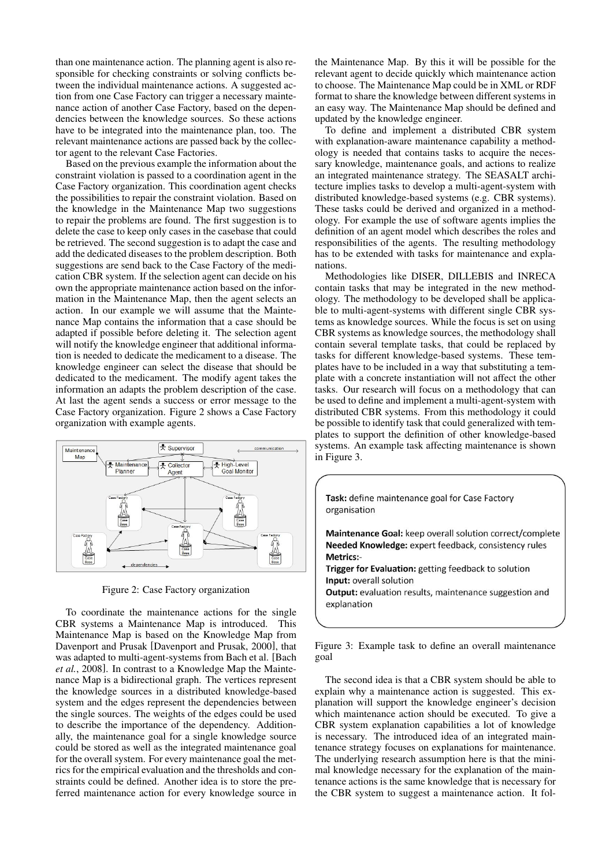than one maintenance action. The planning agent is also responsible for checking constraints or solving conflicts between the individual maintenance actions. A suggested action from one Case Factory can trigger a necessary maintenance action of another Case Factory, based on the dependencies between the knowledge sources. So these actions have to be integrated into the maintenance plan, too. The relevant maintenance actions are passed back by the collector agent to the relevant Case Factories.

Based on the previous example the information about the constraint violation is passed to a coordination agent in the Case Factory organization. This coordination agent checks the possibilities to repair the constraint violation. Based on the knowledge in the Maintenance Map two suggestions to repair the problems are found. The first suggestion is to delete the case to keep only cases in the casebase that could be retrieved. The second suggestion is to adapt the case and add the dedicated diseases to the problem description. Both suggestions are send back to the Case Factory of the medication CBR system. If the selection agent can decide on his own the appropriate maintenance action based on the information in the Maintenance Map, then the agent selects an action. In our example we will assume that the Maintenance Map contains the information that a case should be adapted if possible before deleting it. The selection agent will notify the knowledge engineer that additional information is needed to dedicate the medicament to a disease. The knowledge engineer can select the disease that should be dedicated to the medicament. The modify agent takes the information an adapts the problem description of the case. At last the agent sends a success or error message to the Case Factory organization. Figure 2 shows a Case Factory organization with example agents.



Figure 2: Case Factory organization

To coordinate the maintenance actions for the single CBR systems a Maintenance Map is introduced. This Maintenance Map is based on the Knowledge Map from Davenport and Prusak [Davenport and Prusak, 2000], that was adapted to multi-agent-systems from Bach et al. [Bach *et al.*, 2008]. In contrast to a Knowledge Map the Maintenance Map is a bidirectional graph. The vertices represent the knowledge sources in a distributed knowledge-based system and the edges represent the dependencies between the single sources. The weights of the edges could be used to describe the importance of the dependency. Additionally, the maintenance goal for a single knowledge source could be stored as well as the integrated maintenance goal for the overall system. For every maintenance goal the metrics for the empirical evaluation and the thresholds and constraints could be defined. Another idea is to store the preferred maintenance action for every knowledge source in the Maintenance Map. By this it will be possible for the relevant agent to decide quickly which maintenance action to choose. The Maintenance Map could be in XML or RDF format to share the knowledge between different systems in an easy way. The Maintenance Map should be defined and updated by the knowledge engineer.

To define and implement a distributed CBR system with explanation-aware maintenance capability a methodology is needed that contains tasks to acquire the necessary knowledge, maintenance goals, and actions to realize an integrated maintenance strategy. The SEASALT architecture implies tasks to develop a multi-agent-system with distributed knowledge-based systems (e.g. CBR systems). These tasks could be derived and organized in a methodology. For example the use of software agents implies the definition of an agent model which describes the roles and responsibilities of the agents. The resulting methodology has to be extended with tasks for maintenance and explanations.

Methodologies like DISER, DILLEBIS and INRECA contain tasks that may be integrated in the new methodology. The methodology to be developed shall be applicable to multi-agent-systems with different single CBR systems as knowledge sources. While the focus is set on using CBR systems as knowledge sources, the methodology shall contain several template tasks, that could be replaced by tasks for different knowledge-based systems. These templates have to be included in a way that substituting a template with a concrete instantiation will not affect the other tasks. Our research will focus on a methodology that can be used to define and implement a multi-agent-system with distributed CBR systems. From this methodology it could be possible to identify task that could generalized with templates to support the definition of other knowledge-based systems. An example task affecting maintenance is shown in Figure 3.

Task: define maintenance goal for Case Factory organisation

Maintenance Goal: keep overall solution correct/complete Needed Knowledge: expert feedback, consistency rules Metrics:-

Trigger for Evaluation: getting feedback to solution Input: overall solution **Output:** evaluation results, maintenance suggestion and

explanation

Figure 3: Example task to define an overall maintenance goal

The second idea is that a CBR system should be able to explain why a maintenance action is suggested. This explanation will support the knowledge engineer's decision which maintenance action should be executed. To give a CBR system explanation capabilities a lot of knowledge is necessary. The introduced idea of an integrated maintenance strategy focuses on explanations for maintenance. The underlying research assumption here is that the minimal knowledge necessary for the explanation of the maintenance actions is the same knowledge that is necessary for the CBR system to suggest a maintenance action. It fol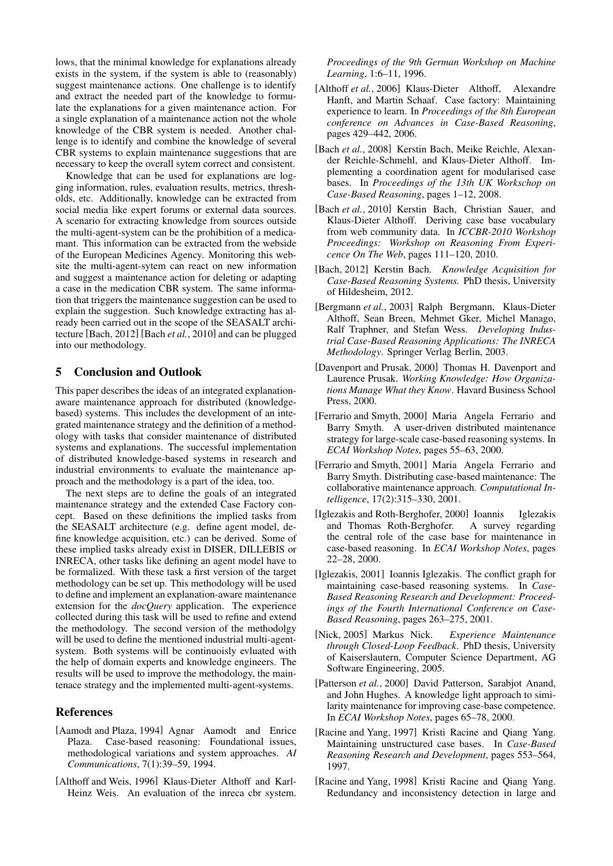lows, that the minimal knowledge for explanations already exists in the system, if the system is able to (reasonably) suggest maintenance actions. One challenge is to identify and extract the needed part of the knowledge to formulate the explanations for a given maintenance action. For a single explanation of a maintenance action not the whole knowledge of the CBR system is needed. Another challenge is to identify and combine the knowledge of several CBR systems to explain maintenance suggestions that are necessary to keep the overall sytem correct and consistent.

Knowledge that can be used for explanations are logging information, rules, evaluation results, metrics, thresholds, etc. Additionally, knowledge can be extracted from social media like expert forums or external data sources. A scenario for extracting knowledge from sources outside the multi-agent-system can be the prohibition of a medicamant. This information can be extracted from the webside of the European Medicines Agency. Monitoring this website the multi-agent-sytem can react on new information and suggest a maintenance action for deleting or adapting a case in the medication CBR system. The same information that triggers the maintenance suggestion can be used to explain the suggestion. Such knowledge extracting has already been carried out in the scope of the SEASALT architecture [Bach, 2012] [Bach *et al.*, 2010] and can be plugged into our methodology.

## 5 Conclusion and Outlook

This paper describes the ideas of an integrated explanationaware maintenance approach for distributed (knowledgebased) systems. This includes the development of an integrated maintenance strategy and the definition of a methodology with tasks that consider maintenance of distributed systems and explanations. The successful implementation of distributed knowledge-based systems in research and industrial environments to evaluate the maintenance approach and the methodology is a part of the idea, too.

The next steps are to define the goals of an integrated maintenance strategy and the extended Case Factory concept. Based on these definitions the implied tasks from the SEASALT architecture (e.g. define agent model, define knowledge acquisition, etc.) can be derived. Some of these implied tasks already exist in DISER, DILLEBIS or INRECA, other tasks like defining an agent model have to be formalized. With these task a first version of the target methodology can be set up. This methodology will be used to define and implement an explanation-aware maintenance extension for the *docQuery* application. The experience collected during this task will be used to refine and extend the methodology. The second version of the methodolgy will be used to define the mentioned industrial multi-agentsystem. Both systems will be continuoisly evluated with the help of domain experts and knowledge engineers. The results will be used to improve the methodology, the maintenace strategy and the implemented multi-agent-systems.

#### References

- [Aamodt and Plaza, 1994] Agnar Aamodt and Enrice Plaza. Case-based reasoning: Foundational issues, methodological variations and system approaches. *AI Communications*, 7(1):39–59, 1994.
- [Althoff and Weis, 1996] Klaus-Dieter Althoff and Karl-Heinz Weis. An evaluation of the inreca cbr system.

*Proceedings of the 9th German Workshop on Machine Learning*, 1:6–11, 1996.

- [Althoff *et al.*, 2006] Klaus-Dieter Althoff, Alexandre Hanft, and Martin Schaaf. Case factory: Maintaining experience to learn. In *Proceedings of the 8th European conference on Advances in Case-Based Reasoning*, pages 429–442, 2006.
- [Bach et al., 2008] Kerstin Bach, Meike Reichle, Alexander Reichle-Schmehl, and Klaus-Dieter Althoff. Implementing a coordination agent for modularised case bases. In *Proceedings of the 13th UK Workschop on Case-Based Reasoning*, pages 1–12, 2008.
- [Bach *et al.*, 2010] Kerstin Bach, Christian Sauer, and Klaus-Dieter Althoff. Deriving case base vocabulary from web community data. In *ICCBR-2010 Workshop Proceedings: Workshop on Reasoning From Expericence On The Web*, pages 111–120, 2010.
- [Bach, 2012] Kerstin Bach. *Knowledge Acquisition for Case-Based Reasoning Systems.* PhD thesis, University of Hildesheim, 2012.
- [Bergmann *et al.*, 2003] Ralph Bergmann, Klaus-Dieter Althoff, Sean Breen, Mehmet Gker, Michel Manago, Ralf Traphner, and Stefan Wess. *Developing Industrial Case-Based Reasoning Applications: The INRECA Methodology*. Springer Verlag Berlin, 2003.
- [Davenport and Prusak, 2000] Thomas H. Davenport and Laurence Prusak. *Working Knowledge: How Organizations Manage What they Know*. Havard Business School Press, 2000.
- [Ferrario and Smyth, 2000] Maria Angela Ferrario and Barry Smyth. A user-driven distributed maintenance strategy for large-scale case-based reasoning systems. In *ECAI Workshop Notes*, pages 55–63, 2000.
- [Ferrario and Smyth, 2001] Maria Angela Ferrario and Barry Smyth. Distributing case-based maintenance: The collaborative maintenance approach. *Computational Intelligence*, 17(2):315–330, 2001.
- [Iglezakis and Roth-Berghofer, 2000] Ioannis Iglezakis and Thomas Roth-Berghofer. A survey regarding the central role of the case base for maintenance in case-based reasoning. In *ECAI Workshop Notes*, pages 22–28, 2000.
- [Iglezakis, 2001] Ioannis Iglezakis. The conflict graph for maintaining case-based reasoning systems. In *Case-Based Reasoning Research and Development: Proceedings of the Fourth International Conference on Case-Based Reasoning*, pages 263–275, 2001.
- [Nick, 2005] Markus Nick. *Experience Maintenance through Closed-Loop Feedback*. PhD thesis, University of Kaiserslautern, Computer Science Department, AG Software Engineering, 2005.
- [Patterson *et al.*, 2000] David Patterson, Sarabjot Anand, and John Hughes. A knowledge light approach to similarity maintenance for improving case-base competence. In *ECAI Workshop Notes*, pages 65–78, 2000.
- [Racine and Yang, 1997] Kristi Racine and Qiang Yang. Maintaining unstructured case bases. In *Case-Based Reasoning Research and Development*, pages 553–564, 1997.
- [Racine and Yang, 1998] Kristi Racine and Qiang Yang. Redundancy and inconsistency detection in large and